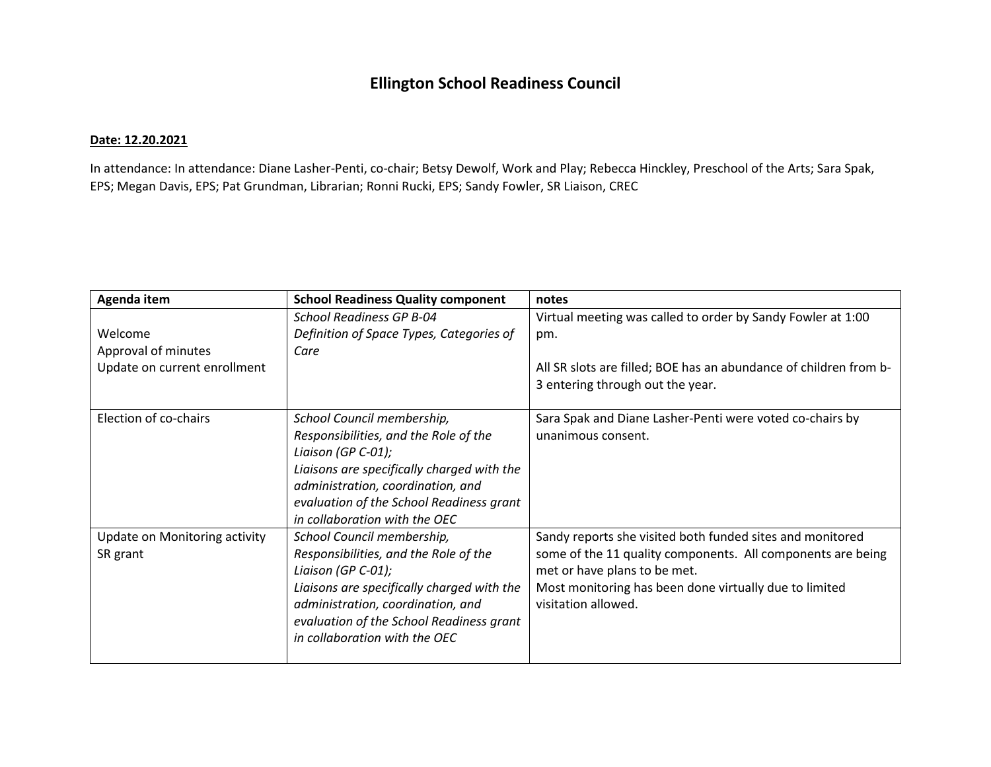## **Ellington School Readiness Council**

## **Date: 12.20.2021**

In attendance: In attendance: Diane Lasher-Penti, co-chair; Betsy Dewolf, Work and Play; Rebecca Hinckley, Preschool of the Arts; Sara Spak, EPS; Megan Davis, EPS; Pat Grundman, Librarian; Ronni Rucki, EPS; Sandy Fowler, SR Liaison, CREC

| Agenda item                   | <b>School Readiness Quality component</b>  | notes                                                             |
|-------------------------------|--------------------------------------------|-------------------------------------------------------------------|
|                               | <b>School Readiness GP B-04</b>            | Virtual meeting was called to order by Sandy Fowler at 1:00       |
| Welcome                       | Definition of Space Types, Categories of   | pm.                                                               |
| Approval of minutes           | Care                                       |                                                                   |
| Update on current enrollment  |                                            | All SR slots are filled; BOE has an abundance of children from b- |
|                               |                                            | 3 entering through out the year.                                  |
|                               |                                            |                                                                   |
| Election of co-chairs         | School Council membership,                 | Sara Spak and Diane Lasher-Penti were voted co-chairs by          |
|                               | Responsibilities, and the Role of the      | unanimous consent.                                                |
|                               | Liaison (GP C-01);                         |                                                                   |
|                               | Liaisons are specifically charged with the |                                                                   |
|                               | administration, coordination, and          |                                                                   |
|                               | evaluation of the School Readiness grant   |                                                                   |
|                               | in collaboration with the OEC              |                                                                   |
| Update on Monitoring activity | School Council membership,                 | Sandy reports she visited both funded sites and monitored         |
| SR grant                      | Responsibilities, and the Role of the      | some of the 11 quality components. All components are being       |
|                               | Liaison (GP C-01);                         | met or have plans to be met.                                      |
|                               | Liaisons are specifically charged with the | Most monitoring has been done virtually due to limited            |
|                               | administration, coordination, and          | visitation allowed.                                               |
|                               | evaluation of the School Readiness grant   |                                                                   |
|                               | in collaboration with the OEC              |                                                                   |
|                               |                                            |                                                                   |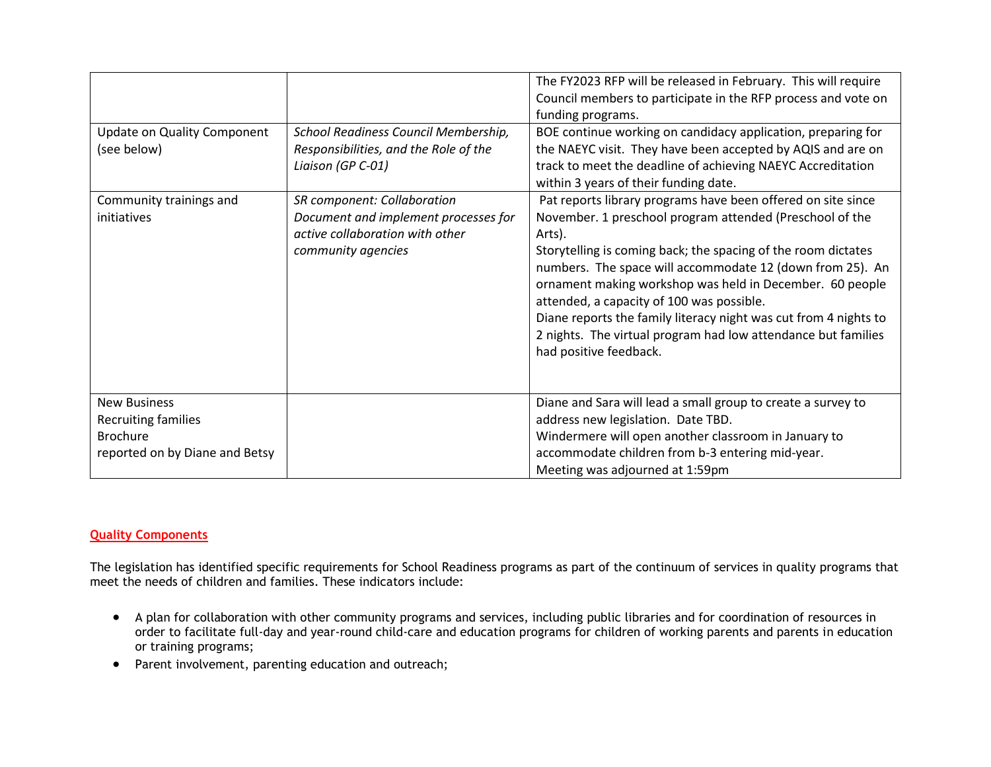| <b>Update on Quality Component</b><br>(see below)                                                      | School Readiness Council Membership,<br>Responsibilities, and the Role of the<br>Liaison (GP C-01)                           | The FY2023 RFP will be released in February. This will require<br>Council members to participate in the RFP process and vote on<br>funding programs.<br>BOE continue working on candidacy application, preparing for<br>the NAEYC visit. They have been accepted by AQIS and are on<br>track to meet the deadline of achieving NAEYC Accreditation<br>within 3 years of their funding date.                                                                                                                                              |
|--------------------------------------------------------------------------------------------------------|------------------------------------------------------------------------------------------------------------------------------|------------------------------------------------------------------------------------------------------------------------------------------------------------------------------------------------------------------------------------------------------------------------------------------------------------------------------------------------------------------------------------------------------------------------------------------------------------------------------------------------------------------------------------------|
| Community trainings and<br>initiatives                                                                 | SR component: Collaboration<br>Document and implement processes for<br>active collaboration with other<br>community agencies | Pat reports library programs have been offered on site since<br>November. 1 preschool program attended (Preschool of the<br>Arts).<br>Storytelling is coming back; the spacing of the room dictates<br>numbers. The space will accommodate 12 (down from 25). An<br>ornament making workshop was held in December. 60 people<br>attended, a capacity of 100 was possible.<br>Diane reports the family literacy night was cut from 4 nights to<br>2 nights. The virtual program had low attendance but families<br>had positive feedback. |
| <b>New Business</b><br><b>Recruiting families</b><br><b>Brochure</b><br>reported on by Diane and Betsy |                                                                                                                              | Diane and Sara will lead a small group to create a survey to<br>address new legislation. Date TBD.<br>Windermere will open another classroom in January to<br>accommodate children from b-3 entering mid-year.<br>Meeting was adjourned at 1:59pm                                                                                                                                                                                                                                                                                        |

## **Quality Components**

The legislation has identified specific requirements for School Readiness programs as part of the continuum of services in quality programs that meet the needs of children and families. These indicators include:

- A plan for collaboration with other community programs and services, including public libraries and for coordination of resources in order to facilitate full-day and year-round child-care and education programs for children of working parents and parents in education or training programs;
- Parent involvement, parenting education and outreach;